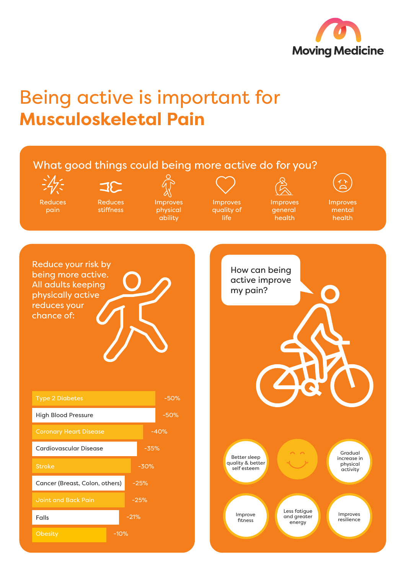

## Being active is important for **Musculoskeletal Pain**